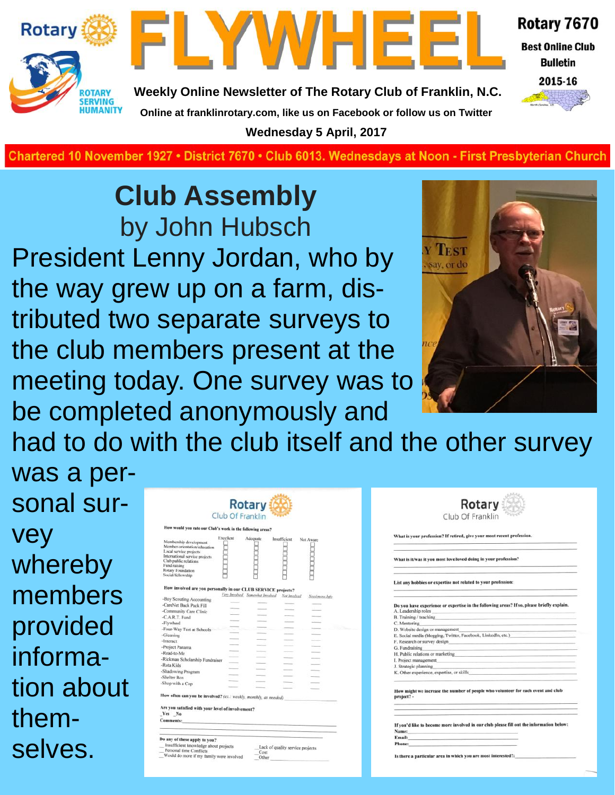



**Weekly Online Newsletter of The Rotary Club of Franklin, N.C. Online at franklinrotary.com, like us on Facebook or follow us on Twitter**

**Wednesday 5 April, 2017**

**Best Online Club Bulletin** 

Rotary 7670



**Charted November 29, 1927 • District 7670 • Club 6013 Wednesdays at Noon - First Presbyterian Church**

# **Club Assembly** by John Hubsch

President Lenny Jordan, who by the way grew up on a farm, distributed two separate surveys to the club members present at the meeting today. One survey was to be completed anonymously and



had to do with the club itself and the other survey

was a personal survey whereby members provided information about themselves.

|                                                                                                                                                                                                       |           | Club Of Franklin                 |                                  |                |
|-------------------------------------------------------------------------------------------------------------------------------------------------------------------------------------------------------|-----------|----------------------------------|----------------------------------|----------------|
| How would you rate our Club's work in the following areas?                                                                                                                                            |           |                                  |                                  |                |
| Membership development<br>Member orientation/education<br>Local service projects<br>International service projects<br>Club public relations<br>Fund raising<br>Rotary Foundation<br>Social/fellowship | Excellent | Adequate                         | Insufficient                     | Not Aware      |
| How involved are you personally in our CLUB SERVICE projects?                                                                                                                                         |           |                                  |                                  |                |
|                                                                                                                                                                                                       |           | Fory Involved. Somewhat Involved | Not Involved                     | Need more Info |
| -Boy Scouting Accounting                                                                                                                                                                              |           |                                  |                                  |                |
| -CareNet Back Pack Fill                                                                                                                                                                               |           |                                  |                                  |                |
| -Community Care Clinic                                                                                                                                                                                |           |                                  |                                  |                |
| -C.A.R.T. Fund                                                                                                                                                                                        |           |                                  |                                  |                |
| -Flywheel                                                                                                                                                                                             |           |                                  |                                  |                |
| -Four-Way Test at Schools                                                                                                                                                                             |           |                                  |                                  |                |
| -Gleaning                                                                                                                                                                                             |           |                                  |                                  |                |
| -Interact                                                                                                                                                                                             |           |                                  |                                  |                |
| -Project Panama                                                                                                                                                                                       |           |                                  |                                  |                |
| -Read-to-Me                                                                                                                                                                                           |           |                                  |                                  |                |
| -Rickman Scholarship Fundraiser                                                                                                                                                                       |           |                                  |                                  |                |
| -Rota Kids                                                                                                                                                                                            |           |                                  |                                  |                |
| -Shadowing Program                                                                                                                                                                                    |           |                                  |                                  |                |
| -Shelter Box                                                                                                                                                                                          |           |                                  |                                  |                |
| -Shop with a Cop                                                                                                                                                                                      |           |                                  |                                  |                |
|                                                                                                                                                                                                       |           |                                  |                                  |                |
| How often can you be involved? (ex.: weekly, monthly, as needed)<br>Are you satisfied with your level of involvement?<br>Yes No<br><b>Comments:</b>                                                   |           |                                  |                                  |                |
|                                                                                                                                                                                                       |           |                                  |                                  |                |
| Do any of these apply to you?                                                                                                                                                                         |           |                                  |                                  |                |
| Insufficient knowledge about projects<br>Personal time Conflicts<br>Would do more if my family were involved                                                                                          |           | Cost<br>Other                    | Lack of quality service projects |                |

| Club Of Franklin                                                                                                                                                                                                               |                                                                                                                                                                                                                                |  |                                                                                                                                                                                                                                |
|--------------------------------------------------------------------------------------------------------------------------------------------------------------------------------------------------------------------------------|--------------------------------------------------------------------------------------------------------------------------------------------------------------------------------------------------------------------------------|--|--------------------------------------------------------------------------------------------------------------------------------------------------------------------------------------------------------------------------------|
| That is your profession? If retired, give your most recent profession.                                                                                                                                                         |                                                                                                                                                                                                                                |  |                                                                                                                                                                                                                                |
| That is it/was it you most love/loved doing in your profession?<br>ist any hobbies or expertise not related to your profession:                                                                                                |                                                                                                                                                                                                                                |  |                                                                                                                                                                                                                                |
|                                                                                                                                                                                                                                |                                                                                                                                                                                                                                |  | Leadership roles and the contract of the contract of the contract of the contract of the contract of the contract of the contract of the contract of the contract of the contract of the contract of the contract of the contr |
|                                                                                                                                                                                                                                | Training / teaching The Contract of the Contract of the Contract of the Contract of the Contract of the Contract of the Contract of the Contract of the Contract of the Contract of the Contract of the Contract of the Contra |  |                                                                                                                                                                                                                                |
| Mentoring                                                                                                                                                                                                                      |                                                                                                                                                                                                                                |  |                                                                                                                                                                                                                                |
| Website design or management                                                                                                                                                                                                   |                                                                                                                                                                                                                                |  |                                                                                                                                                                                                                                |
|                                                                                                                                                                                                                                | Social media (blogging, Twitter, Facebook, LinkedIn, etc.)                                                                                                                                                                     |  |                                                                                                                                                                                                                                |
| Research or survey design experience of the contract of the contract of the contract of the contract of the contract of the contract of the contract of the contract of the contract of the contract of the contract of the co |                                                                                                                                                                                                                                |  |                                                                                                                                                                                                                                |
| . Fundraising                                                                                                                                                                                                                  |                                                                                                                                                                                                                                |  |                                                                                                                                                                                                                                |
| I. Public relations or marketing and the control of the control of the control of the control of the control of the control of the control of the control of the control of the control of the control of the control of the c |                                                                                                                                                                                                                                |  |                                                                                                                                                                                                                                |
|                                                                                                                                                                                                                                |                                                                                                                                                                                                                                |  |                                                                                                                                                                                                                                |
|                                                                                                                                                                                                                                |                                                                                                                                                                                                                                |  |                                                                                                                                                                                                                                |
| Project management<br>Strategic planning                                                                                                                                                                                       |                                                                                                                                                                                                                                |  |                                                                                                                                                                                                                                |
|                                                                                                                                                                                                                                |                                                                                                                                                                                                                                |  |                                                                                                                                                                                                                                |
|                                                                                                                                                                                                                                | low might we increase the number of people who volunteer for each event and club                                                                                                                                               |  |                                                                                                                                                                                                                                |
| Other experience, expertise, or skills<br>roject? -                                                                                                                                                                            |                                                                                                                                                                                                                                |  |                                                                                                                                                                                                                                |
|                                                                                                                                                                                                                                | f you'd like to become more involved in our club please fill out the information below:                                                                                                                                        |  |                                                                                                                                                                                                                                |
|                                                                                                                                                                                                                                |                                                                                                                                                                                                                                |  |                                                                                                                                                                                                                                |
| fame: and a state of the state of the state of the state of the state of the state of the state of the state of the<br>Cmail: The Commission of the Commission of the Commission<br>hone:                                      |                                                                                                                                                                                                                                |  |                                                                                                                                                                                                                                |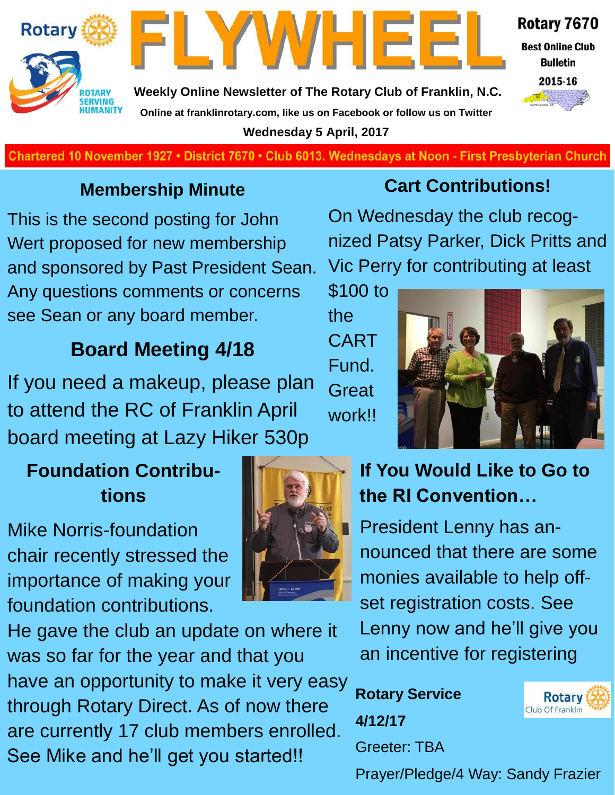



**Weekly Online Newsletter of The Rotary Club of Franklin, N.C. Online at franklinrotary.com, like us on Facebook or follow us on Twitter Wednesday 5 April, 2017**



**Best Online Club Bulletin** 



**Charted November 29, 1927 • District 7670 • Club 6013 Wednesdays at Noon - First Presbyterian Church**

### **Membership Minute**

This is the second posting for John Wert proposed for new membership and sponsored by Past President Sean. Any questions comments or concerns see Sean or any board member.

## **Board Meeting 4/18**

If you need a makeup, please plan to attend the RC of Franklin April board meeting at Lazy Hiker 530p

## **Foundation Contributions**

Mike Norris-foundation chair recently stressed the importance of making your foundation contributions.

He gave the club an update on where it was so far for the year and that you have an opportunity to make it very easy through Rotary Direct. As of now there are currently 17 club members enrolled. See Mike and he'll get you started!!



### **Cart Contributions!**

On Wednesday the club recognized Patsy Parker, Dick Pritts and Vic Perry for contributing at least

\$100 to the CART Fund. **Great** work!!



## **If You Would Like to Go to the RI Convention…**

President Lenny has announced that there are some monies available to help offset registration costs. See Lenny now and he'll give you an incentive for registering

**Rotary Service 4/12/17** Greeter: TBA



Prayer/Pledge/4 Way: Sandy Frazier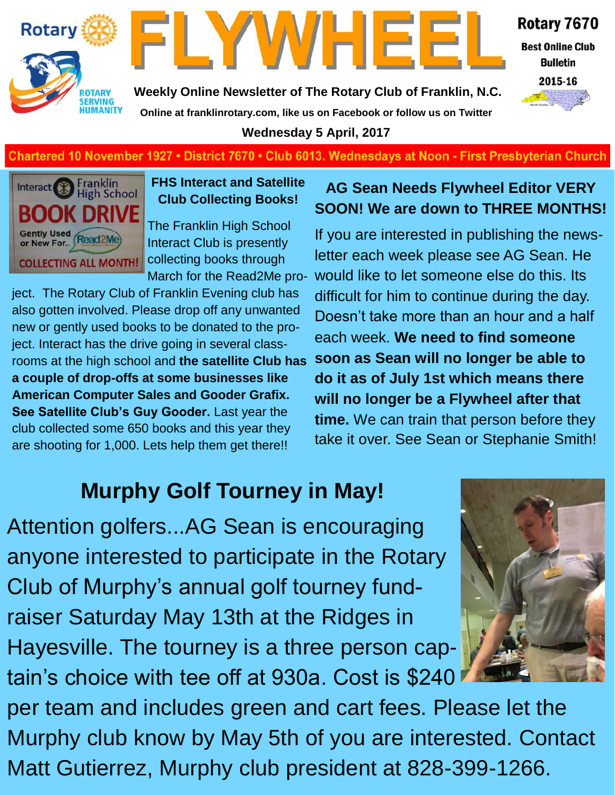



Rotary 7670

**Best Online Club Bulletin** 

2015-16

**Weekly Online Newsletter of The Rotary Club of Franklin, N.C. Online at franklinrotary.com, like us on Facebook or follow us on Twitter**

**Wednesday 5 April, 2017**

#### **Chartered 10 November 1927 • District 7670 • Club 6013. Wednesdays at Noon - First Presbyterian Church**



**FHS Interact and Satellite Club Collecting Books!**

The Franklin High School Interact Club is presently collecting books through March for the Read2Me pro-

ject. The Rotary Club of Franklin Evening club has also gotten involved. Please drop off any unwanted new or gently used books to be donated to the project. Interact has the drive going in several classrooms at the high school and **the satellite Club has a couple of drop-offs at some businesses like American Computer Sales and Gooder Grafix. See Satellite Club's Guy Gooder.** Last year the club collected some 650 books and this year they are shooting for 1,000. Lets help them get there!!

#### **AG Sean Needs Flywheel Editor VERY SOON! We are down to THREE MONTHS!**

If you are interested in publishing the newsletter each week please see AG Sean. He would like to let someone else do this. Its difficult for him to continue during the day. Doesn't take more than an hour and a half each week. **We need to find someone soon as Sean will no longer be able to do it as of July 1st which means there will no longer be a Flywheel after that time.** We can train that person before they take it over. See Sean or Stephanie Smith!

# **Murphy Golf Tourney in May!**

Attention golfers...AG Sean is encouraging anyone interested to participate in the Rotary Club of Murphy's annual golf tourney fundraiser Saturday May 13th at the Ridges in Hayesville. The tourney is a three person captain's choice with tee off at 930a. Cost is \$240



per team and includes green and cart fees. Please let the Murphy club know by May 5th of you are interested. Contact Matt Gutierrez, Murphy club president at 828-399-1266.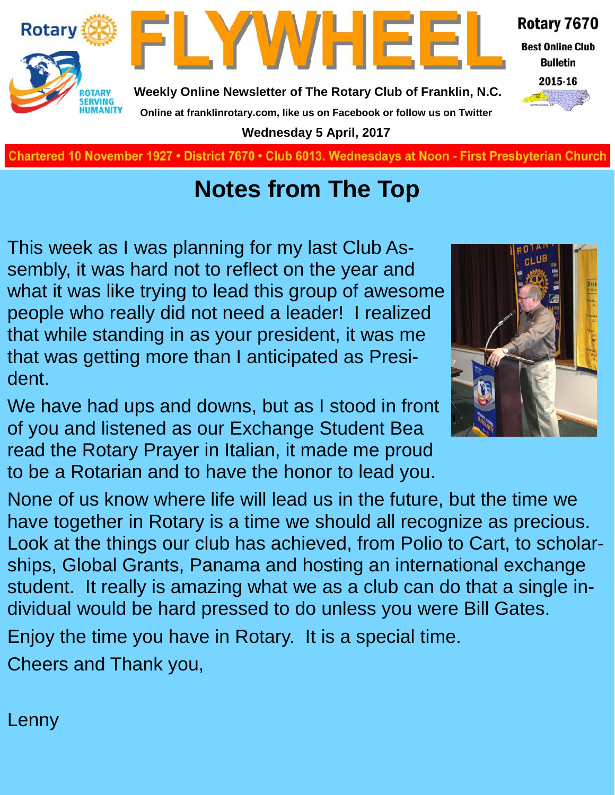

**Charted November 29, 1927 • District 7670 • Club 6013 Wednesdays at Noon - First Presbyterian Church**

## **Notes from The Top**

This week as I was planning for my last Club Assembly, it was hard not to reflect on the year and what it was like trying to lead this group of awesome people who really did not need a leader! I realized that while standing in as your president, it was me that was getting more than I anticipated as President.

We have had ups and downs, but as I stood in front of you and listened as our Exchange Student Bea read the Rotary Prayer in Italian, it made me proud to be a Rotarian and to have the honor to lead you.

None of us know where life will lead us in the future, but the time we have together in Rotary is a time we should all recognize as precious. Look at the things our club has achieved, from Polio to Cart, to scholarships, Global Grants, Panama and hosting an international exchange student. It really is amazing what we as a club can do that a single individual would be hard pressed to do unless you were Bill Gates.

Enjoy the time you have in Rotary. It is a special time.

Cheers and Thank you,

Lenny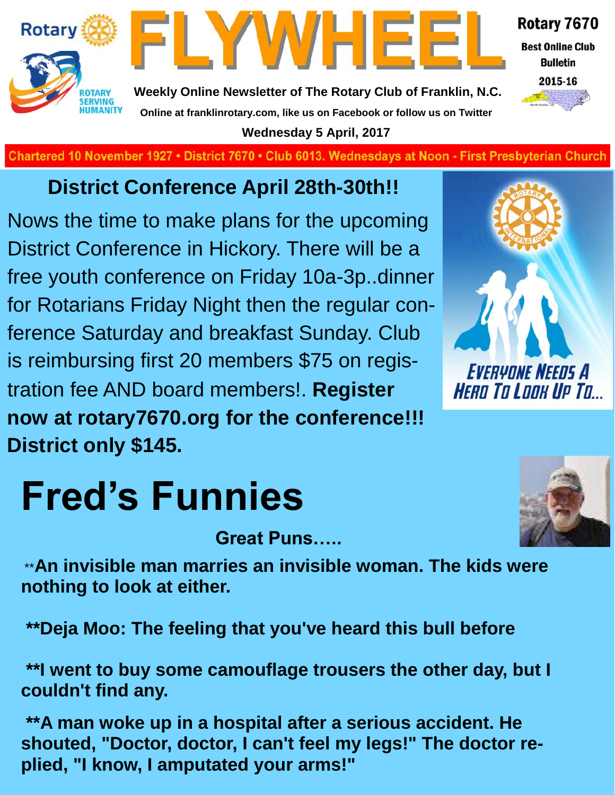



**Weekly Online Newsletter of The Rotary Club of Franklin, N.C. Online at franklinrotary.com, like us on Facebook or follow us on Twitter Wednesday 5 April, 2017**

**Charted November 29, 1927 • District 7670 • Club 6013 Wednesdays at Noon - First Presbyterian Church**

## **District Conference April 28th-30th!!**

Nows the time to make plans for the upcoming District Conference in Hickory. There will be a free youth conference on Friday 10a-3p..dinner for Rotarians Friday Night then the regular conference Saturday and breakfast Sunday. Club is reimbursing first 20 members \$75 on registration fee AND board members!. **Register now at rotary7670.org for the conference!!! District only \$145.** 



Rotary 7670

**Best Online Club Bulletin** 2015-16

# **Fred's Funnies**

**Great Puns…..**

\*\***An invisible man marries an invisible woman. The kids were nothing to look at either.**

**\*\*Deja Moo: The feeling that you've heard this bull before**

**\*\*I went to buy some camouflage trousers the other day, but I couldn't find any.**

**\*\*A man woke up in a hospital after a serious accident. He shouted, "Doctor, doctor, I can't feel my legs!" The doctor replied, "I know, I amputated your arms!"**